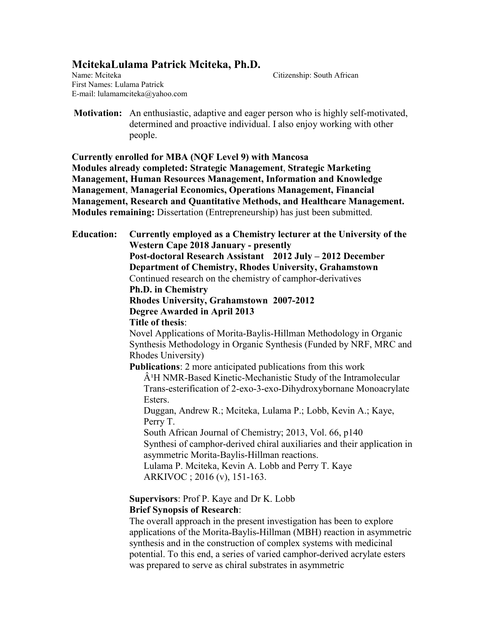# **McitekaLulama Patrick Mciteka, Ph.D.**

First Names: Lulama Patrick E-mail: lulamamciteka@yahoo.com Citizenship: South African

**Motivation:** An enthusiastic, adaptive and eager person who is highly self-motivated, determined and proactive individual. I also enjoy working with other people.

**Currently enrolled for MBA (NQF Level 9) with Mancosa Modules already completed: Strategic Management**, **Strategic Marketing Management, Human Resources Management, Information and Knowledge Management**, **Managerial Economics, Operations Management, Financial Management, Research and Quantitative Methods, and Healthcare Management. Modules remaining:** Dissertation (Entrepreneurship) has just been submitted.

**Education: Currently employed as a Chemistry lecturer at the University of the Western Cape 2018 January - presently Post-doctoral Research Assistant 2012 July – 2012 December Department of Chemistry, Rhodes University, Grahamstown** Continued research on the chemistry of camphor-derivatives **Ph.D. in Chemistry Rhodes University, Grahamstown 2007-2012 Degree Awarded in April 2013 Title of thesis**: Novel Applications of Morita-Baylis-Hillman Methodology in Organic Synthesis Methodology in Organic Synthesis (Funded by NRF, MRC and Rhodes University) **Publications**: 2 more anticipated publications from this work  $\hat{A}$ <sup>1</sup>H NMR-Based Kinetic-Mechanistic Study of the Intramolecular Trans-esterification of 2-exo-3-exo-Dihydroxybornane Monoacrylate Esters. Duggan, Andrew R.; Mciteka, Lulama P.; Lobb, Kevin A.; Kaye, Perry T. South African Journal of Chemistry; 2013, Vol. 66, p140 Synthesi of camphor-derived chiral auxiliaries and their application in asymmetric Morita-Baylis-Hillman reactions. Lulama P. Mciteka, Kevin A. Lobb and Perry T. Kaye ARKIVOC ; 2016 (v), 151-163. **Supervisors**: Prof P. Kaye and Dr K. Lobb **Brief Synopsis of Research**:

The overall approach in the present investigation has been to explore applications of the Morita-Baylis-Hillman (MBH) reaction in asymmetric synthesis and in the construction of complex systems with medicinal potential. To this end, a series of varied camphor-derived acrylate esters was prepared to serve as chiral substrates in asymmetric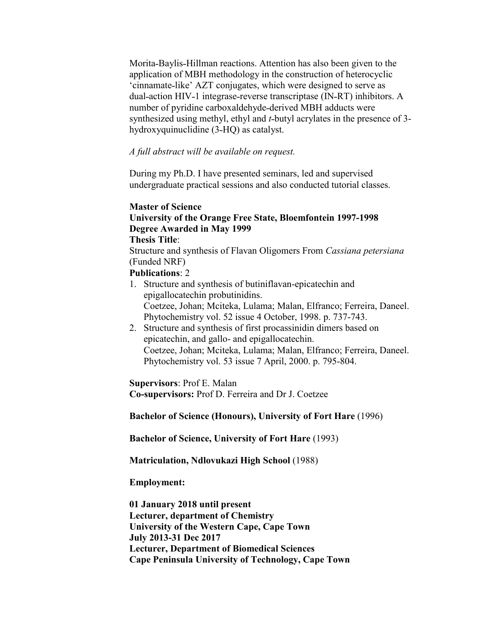Morita-Baylis-Hillman reactions. Attention has also been given to the application of MBH methodology in the construction of heterocyclic 'cinnamate-like' AZT conjugates, which were designed to serve as dual-action HIV-1 integrase-reverse transcriptase (IN-RT) inhibitors. A number of pyridine carboxaldehyde-derived MBH adducts were synthesized using methyl, ethyl and *t*-butyl acrylates in the presence of 3hydroxyquinuclidine (3-HQ) as catalyst.

#### *A full abstract will be available on request.*

During my Ph.D. I have presented seminars, led and supervised undergraduate practical sessions and also conducted tutorial classes.

#### **Master of Science**

# **University of the Orange Free State, Bloemfontein 1997-1998 Degree Awarded in May 1999**

#### **Thesis Title**:

Structure and synthesis of Flavan Oligomers From *Cassiana petersiana* (Funded NRF)

#### **Publications**: 2

- 1. Structure and synthesis of butiniflavan-epicatechin and epigallocatechin probutinidins. Coetzee, Johan; Mciteka, Lulama; Malan, Elfranco; Ferreira, Daneel. Phytochemistry vol. 52 issue 4 October, 1998. p. 737-743.
- 2. Structure and synthesis of first procassinidin dimers based on epicatechin, and gallo- and epigallocatechin. Coetzee, Johan; Mciteka, Lulama; Malan, Elfranco; Ferreira, Daneel. Phytochemistry vol. 53 issue 7 April, 2000. p. 795-804.

**Supervisors**: Prof E. Malan

**Co-supervisors:** Prof D. Ferreira and Dr J. Coetzee

#### **Bachelor of Science (Honours), University of Fort Hare** (1996)

**Bachelor of Science, University of Fort Hare** (1993)

**Matriculation, Ndlovukazi High School** (1988)

**Employment:**

**01 January 2018 until present Lecturer, department of Chemistry University of the Western Cape, Cape Town July 2013-31 Dec 2017 Lecturer, Department of Biomedical Sciences Cape Peninsula University of Technology, Cape Town**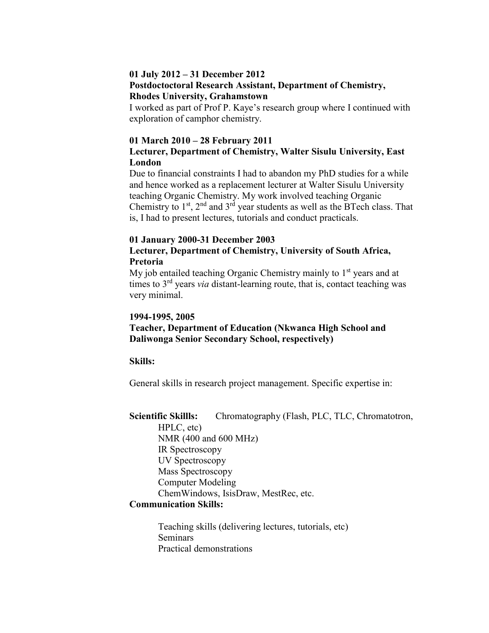# **01 July 2012 – 31 December 2012**

#### **Postdoctoctoral Research Assistant, Department of Chemistry, Rhodes University, Grahamstown**

I worked as part of Prof P. Kaye's research group where I continued with exploration of camphor chemistry.

## **01 March 2010 – 28 February 2011**

# **Lecturer, Department of Chemistry, Walter Sisulu University, East London**

Due to financial constraints I had to abandon my PhD studies for a while and hence worked as a replacement lecturer at Walter Sisulu University teaching Organic Chemistry. My work involved teaching Organic Chemistry to  $1<sup>st</sup>$ ,  $2<sup>nd</sup>$  and  $3<sup>rd</sup>$  year students as well as the BTech class. That is, I had to present lectures, tutorials and conduct practicals.

#### **01 January 2000-31 December 2003**

# **Lecturer, Department of Chemistry, University of South Africa, Pretoria**

My job entailed teaching Organic Chemistry mainly to  $1<sup>st</sup>$  years and at times to 3rd years *via* distant-learning route, that is, contact teaching was very minimal.

#### **1994-1995, 2005**

# **Teacher, Department of Education (Nkwanca High School and Daliwonga Senior Secondary School, respectively)**

## **Skills:**

General skills in research project management. Specific expertise in:

# **Scientific Skillls:** Chromatography (Flash, PLC, TLC, Chromatotron, HPLC, etc) NMR (400 and 600 MHz) IR Spectroscopy UV Spectroscopy Mass Spectroscopy Computer Modeling ChemWindows, IsisDraw, MestRec, etc.

## **Communication Skills:**

Teaching skills (delivering lectures, tutorials, etc) Seminars Practical demonstrations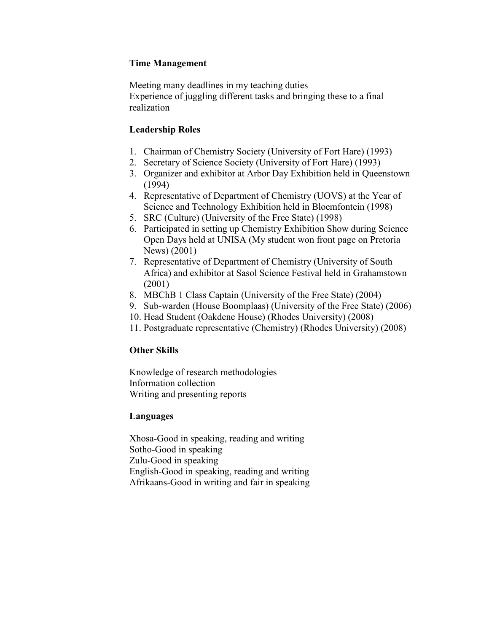# **Time Management**

Meeting many deadlines in my teaching duties Experience of juggling different tasks and bringing these to a final realization

# **Leadership Roles**

- 1. Chairman of Chemistry Society (University of Fort Hare) (1993)
- 2. Secretary of Science Society (University of Fort Hare) (1993)
- 3. Organizer and exhibitor at Arbor Day Exhibition held in Queenstown (1994)
- 4. Representative of Department of Chemistry (UOVS) at the Year of Science and Technology Exhibition held in Bloemfontein (1998)
- 5. SRC (Culture) (University of the Free State) (1998)
- 6. Participated in setting up Chemistry Exhibition Show during Science Open Days held at UNISA (My student won front page on Pretoria News) (2001)
- 7. Representative of Department of Chemistry (University of South Africa) and exhibitor at Sasol Science Festival held in Grahamstown (2001)
- 8. MBChB 1 Class Captain (University of the Free State) (2004)
- 9. Sub-warden (House Boomplaas) (University of the Free State) (2006)
- 10. Head Student (Oakdene House) (Rhodes University) (2008)
- 11. Postgraduate representative (Chemistry) (Rhodes University) (2008)

# **Other Skills**

Knowledge of research methodologies Information collection Writing and presenting reports

# **Languages**

Xhosa-Good in speaking, reading and writing Sotho-Good in speaking Zulu-Good in speaking English-Good in speaking, reading and writing Afrikaans-Good in writing and fair in speaking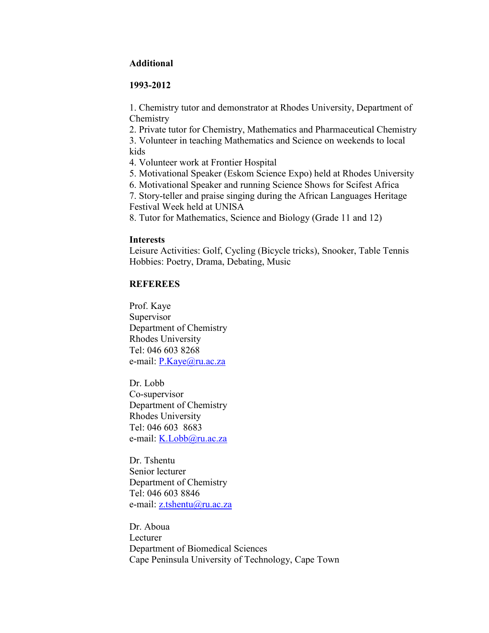#### **Additional**

#### **1993-2012**

1. Chemistry tutor and demonstrator at Rhodes University, Department of Chemistry

2. Private tutor for Chemistry, Mathematics and Pharmaceutical Chemistry

3. Volunteer in teaching Mathematics and Science on weekends to local kids

4. Volunteer work at Frontier Hospital

5. Motivational Speaker (Eskom Science Expo) held at Rhodes University

6. Motivational Speaker and running Science Shows for Scifest Africa

7. Story-teller and praise singing during the African Languages Heritage Festival Week held at UNISA

8. Tutor for Mathematics, Science and Biology (Grade 11 and 12)

#### **Interests**

Leisure Activities: Golf, Cycling (Bicycle tricks), Snooker, Table Tennis Hobbies: Poetry, Drama, Debating, Music

#### **REFEREES**

Prof. Kaye Supervisor Department of Chemistry Rhodes University Tel: 046 603 8268 e-mail: [P.Kaye@ru.ac.za](mailto:P.Kaye@ru.ac.za)

Dr. Lobb Co-supervisor Department of Chemistry Rhodes University Tel: 046 603 8683 e-mail: [K.Lobb@ru.ac.za](mailto:K.Lobb@ru.ac.za)

Dr. Tshentu Senior lecturer Department of Chemistry Tel: 046 603 8846 e-mail: [z.tshentu@ru.ac.za](mailto:z.tshentu@ru.ac.za)

Dr. Aboua Lecturer Department of Biomedical Sciences Cape Peninsula University of Technology, Cape Town